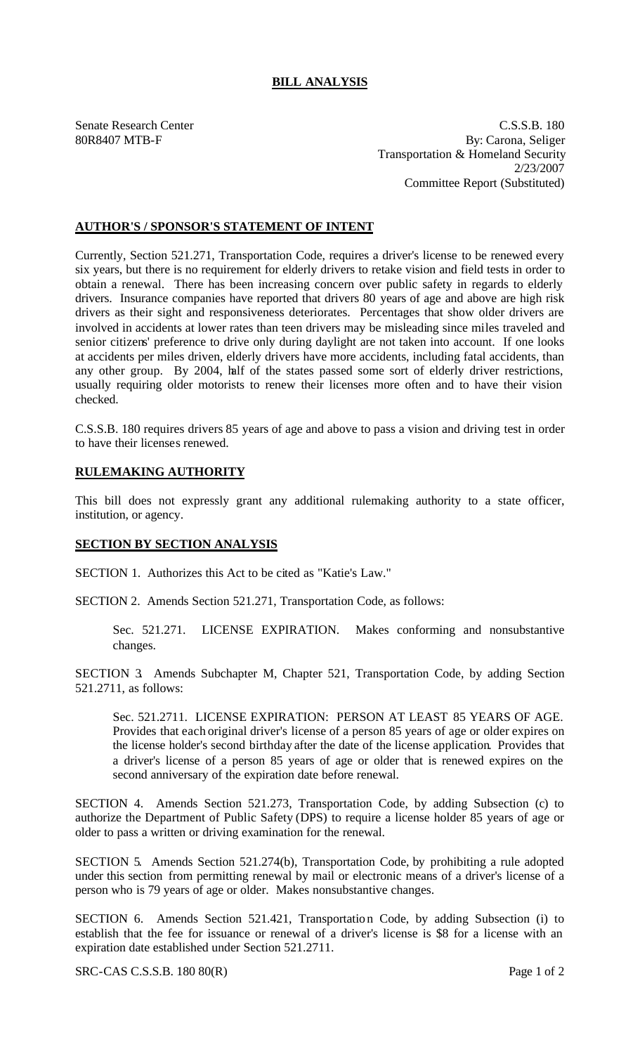## **BILL ANALYSIS**

Senate Research Center C.S.S.B. 180 80R8407 MTB-F By: Carona, Seliger Transportation & Homeland Security 2/23/2007 Committee Report (Substituted)

## **AUTHOR'S / SPONSOR'S STATEMENT OF INTENT**

Currently, Section 521.271, Transportation Code, requires a driver's license to be renewed every six years, but there is no requirement for elderly drivers to retake vision and field tests in order to obtain a renewal. There has been increasing concern over public safety in regards to elderly drivers. Insurance companies have reported that drivers 80 years of age and above are high risk drivers as their sight and responsiveness deteriorates. Percentages that show older drivers are involved in accidents at lower rates than teen drivers may be misleading since miles traveled and senior citizens' preference to drive only during daylight are not taken into account. If one looks at accidents per miles driven, elderly drivers have more accidents, including fatal accidents, than any other group. By 2004, half of the states passed some sort of elderly driver restrictions, usually requiring older motorists to renew their licenses more often and to have their vision checked.

C.S.S.B. 180 requires drivers 85 years of age and above to pass a vision and driving test in order to have their licenses renewed.

## **RULEMAKING AUTHORITY**

This bill does not expressly grant any additional rulemaking authority to a state officer, institution, or agency.

## **SECTION BY SECTION ANALYSIS**

SECTION 1. Authorizes this Act to be cited as "Katie's Law."

SECTION 2. Amends Section 521.271, Transportation Code, as follows:

Sec. 521.271. LICENSE EXPIRATION. Makes conforming and nonsubstantive changes.

SECTION 3. Amends Subchapter M, Chapter 521, Transportation Code, by adding Section 521.2711, as follows:

Sec. 521.2711. LICENSE EXPIRATION: PERSON AT LEAST 85 YEARS OF AGE. Provides that each original driver's license of a person 85 years of age or older expires on the license holder's second birthday after the date of the license application. Provides that a driver's license of a person 85 years of age or older that is renewed expires on the second anniversary of the expiration date before renewal.

SECTION 4. Amends Section 521.273, Transportation Code, by adding Subsection (c) to authorize the Department of Public Safety (DPS) to require a license holder 85 years of age or older to pass a written or driving examination for the renewal.

SECTION 5. Amends Section 521.274(b), Transportation Code, by prohibiting a rule adopted under this section from permitting renewal by mail or electronic means of a driver's license of a person who is 79 years of age or older. Makes nonsubstantive changes.

SECTION 6. Amends Section 521.421, Transportation Code, by adding Subsection (i) to establish that the fee for issuance or renewal of a driver's license is \$8 for a license with an expiration date established under Section 521.2711.

SRC-CAS C.S.S.B. 180 80(R) Page 1 of 2